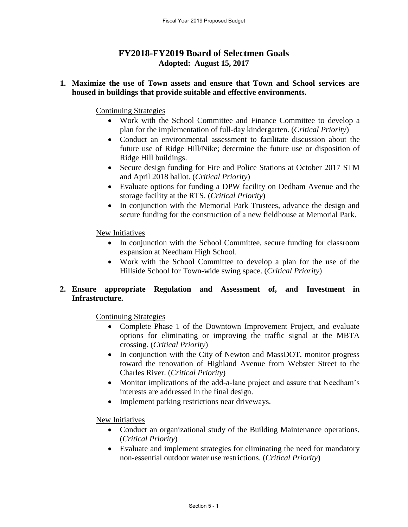# **FY2018-FY2019 Board of Selectmen Goals Adopted: August 15, 2017**

#### **1. Maximize the use of Town assets and ensure that Town and School services are housed in buildings that provide suitable and effective environments.**

Continuing Strategies

- Work with the School Committee and Finance Committee to develop a plan for the implementation of full-day kindergarten. (*Critical Priority*)
- Conduct an environmental assessment to facilitate discussion about the future use of Ridge Hill/Nike; determine the future use or disposition of Ridge Hill buildings.
- Secure design funding for Fire and Police Stations at October 2017 STM and April 2018 ballot. (*Critical Priority*)
- Evaluate options for funding a DPW facility on Dedham Avenue and the storage facility at the RTS. (*Critical Priority*)
- In conjunction with the Memorial Park Trustees, advance the design and secure funding for the construction of a new fieldhouse at Memorial Park.

New Initiatives

- In conjunction with the School Committee, secure funding for classroom expansion at Needham High School.
- Work with the School Committee to develop a plan for the use of the Hillside School for Town-wide swing space. (*Critical Priority*)

## **2. Ensure appropriate Regulation and Assessment of, and Investment in Infrastructure.**

Continuing Strategies

- Complete Phase 1 of the Downtown Improvement Project, and evaluate options for eliminating or improving the traffic signal at the MBTA crossing. (*Critical Priority*)
- In conjunction with the City of Newton and MassDOT, monitor progress toward the renovation of Highland Avenue from Webster Street to the Charles River. (*Critical Priority*)
- Monitor implications of the add-a-lane project and assure that Needham's interests are addressed in the final design.
- Implement parking restrictions near driveways.

New Initiatives

- Conduct an organizational study of the Building Maintenance operations. (*Critical Priority*)
- Evaluate and implement strategies for eliminating the need for mandatory non-essential outdoor water use restrictions. (*Critical Priority*)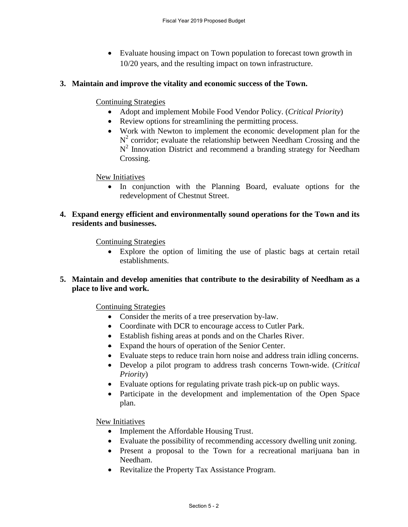• Evaluate housing impact on Town population to forecast town growth in 10/20 years, and the resulting impact on town infrastructure.

## **3. Maintain and improve the vitality and economic success of the Town.**

#### Continuing Strategies

- Adopt and implement Mobile Food Vendor Policy. (*Critical Priority*)
- Review options for streamlining the permitting process.
- Work with Newton to implement the economic development plan for the  $N^2$  corridor; evaluate the relationship between Needham Crossing and the  $N<sup>2</sup>$  Innovation District and recommend a branding strategy for Needham Crossing.

New Initiatives

• In conjunction with the Planning Board, evaluate options for the redevelopment of Chestnut Street.

## **4. Expand energy efficient and environmentally sound operations for the Town and its residents and businesses.**

Continuing Strategies

 Explore the option of limiting the use of plastic bags at certain retail establishments.

## **5. Maintain and develop amenities that contribute to the desirability of Needham as a place to live and work.**

Continuing Strategies

- Consider the merits of a tree preservation by-law.
- Coordinate with DCR to encourage access to Cutler Park.
- Establish fishing areas at ponds and on the Charles River.
- Expand the hours of operation of the Senior Center.
- Evaluate steps to reduce train horn noise and address train idling concerns.
- Develop a pilot program to address trash concerns Town-wide. (*Critical Priority*)
- Evaluate options for regulating private trash pick-up on public ways.
- Participate in the development and implementation of the Open Space plan.

New Initiatives

- Implement the Affordable Housing Trust.
- Evaluate the possibility of recommending accessory dwelling unit zoning.
- Present a proposal to the Town for a recreational marijuana ban in Needham.
- Revitalize the Property Tax Assistance Program.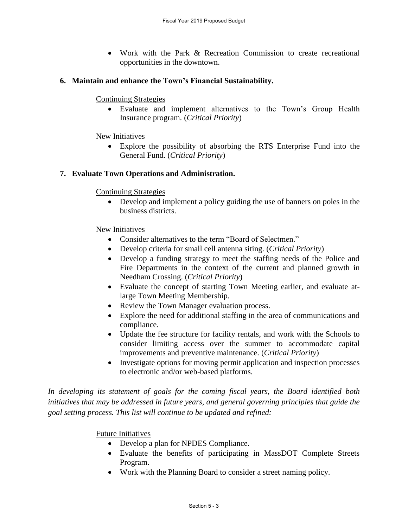Work with the Park & Recreation Commission to create recreational opportunities in the downtown.

## **6. Maintain and enhance the Town's Financial Sustainability.**

#### Continuing Strategies

 Evaluate and implement alternatives to the Town's Group Health Insurance program. (*Critical Priority*)

## New Initiatives

 Explore the possibility of absorbing the RTS Enterprise Fund into the General Fund. (*Critical Priority*)

## **7. Evaluate Town Operations and Administration.**

#### Continuing Strategies

 Develop and implement a policy guiding the use of banners on poles in the business districts.

#### New Initiatives

- Consider alternatives to the term "Board of Selectmen."
- Develop criteria for small cell antenna siting. (*Critical Priority*)
- Develop a funding strategy to meet the staffing needs of the Police and Fire Departments in the context of the current and planned growth in Needham Crossing. (*Critical Priority*)
- Evaluate the concept of starting Town Meeting earlier, and evaluate atlarge Town Meeting Membership.
- Review the Town Manager evaluation process.
- Explore the need for additional staffing in the area of communications and compliance.
- Update the fee structure for facility rentals, and work with the Schools to consider limiting access over the summer to accommodate capital improvements and preventive maintenance. (*Critical Priority*)
- Investigate options for moving permit application and inspection processes to electronic and/or web-based platforms.

*In developing its statement of goals for the coming fiscal years, the Board identified both initiatives that may be addressed in future years, and general governing principles that guide the goal setting process. This list will continue to be updated and refined:* 

Future Initiatives

- Develop a plan for NPDES Compliance.
- Evaluate the benefits of participating in MassDOT Complete Streets Program.
- Work with the Planning Board to consider a street naming policy.